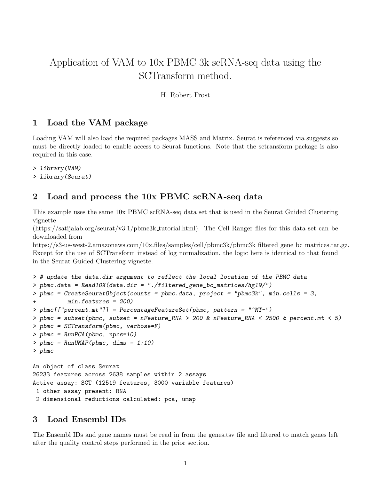# Application of VAM to 10x PBMC 3k scRNA-seq data using the SCTransform method.

#### H. Robert Frost

### 1 Load the VAM package

Loading VAM will also load the required packages MASS and Matrix. Seurat is referenced via suggests so must be directly loaded to enable access to Seurat functions. Note that the sctransform package is also required in this case.

```
> library(VAM)
```

```
> library(Seurat)
```
# 2 Load and process the 10x PBMC scRNA-seq data

This example uses the same 10x PBMC scRNA-seq data set that is used in the Seurat Guided Clustering vignette

(https://satijalab.org/seurat/v3.1/pbmc3k tutorial.html). The Cell Ranger files for this data set can be downloaded from

https://s3-us-west-2.amazonaws.com/10x.files/samples/cell/pbmc3k/pbmc3k filtered gene bc matrices.tar.gz. Except for the use of SCTransform instead of log normalization, the logic here is identical to that found in the Seurat Guided Clustering vignette.

```
> # update the data.dir argument to reflect the local location of the PBMC data
> pbmc.data = Read10X(data.dir = "./filtered_gene_bc_matrices/hg19/")
> pbmc = CreateSeuratObject(counts = pbmc.data, project = "pbmc3k", min.cells = 3,
+ min.features = 200)
> pbmc[["percent.mt"]] = PercentageFeatureSet(pbmc, pattern = "^MT-")
> pbmc = subset(pbmc, subset = nFeature_RNA > 200 & nFeature_RNA < 2500 & percent.mt < 5)
> pbmc = SCTransform(pbmc, verbose=F)
> pbmc = RunPCA(pbmc, npcs=10)
> pbmc = RunUMAP(pbmc, dims = 1:10)
> pbmc
An object of class Seurat
26233 features across 2638 samples within 2 assays
Active assay: SCT (12519 features, 3000 variable features)
 1 other assay present: RNA
 2 dimensional reductions calculated: pca, umap
```
### 3 Load Ensembl IDs

The Ensembl IDs and gene names must be read in from the genes.tsv file and filtered to match genes left after the quality control steps performed in the prior section.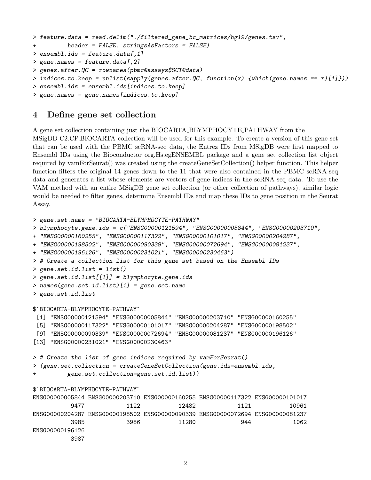```
> feature.data = read.delim("./filtered_gene_bc_matrices/hg19/genes.tsv",
+ header = FALSE, stringsAsFactors = FALSE)
> ensembl.ids = feature.data[,1]
> gene.names = feature.data[,2]
> genes.after.QC = rownames(pbmc@assays$SCT@data)
> indices.to.keep = unlist(sapply(genes.after.QC, function(x) {which(gene.names == x)[1]}))
```

```
> ensembl.ids = ensembl.ids[indices.to.keep]
```

```
> gene.names = gene.names[indices.to.keep]
```
# 4 Define gene set collection

A gene set collection containing just the BIOCARTA BLYMPHOCYTE PATHWAY from the MSigDB C2.CP.BIOCARTA collection will be used for this example. To create a version of this gene set that can be used with the PBMC scRNA-seq data, the Entrez IDs from MSigDB were first mapped to Ensembl IDs using the Bioconductor org.Hs.egENSEMBL package and a gene set collection list object required by vamForSeurat() was created using the createGeneSetCollection() helper function. This helper function filters the original 14 genes down to the 11 that were also contained in the PBMC scRNA-seq data and generates a list whose elements are vectors of gene indices in the scRNA-seq data. To use the VAM method with an entire MSigDB gene set collection (or other collection of pathways), similar logic would be needed to filter genes, determine Ensembl IDs and map these IDs to gene position in the Seurat Assay.

```
> gene.set.name = "BIOCARTA-BLYMPHOCYTE-PATHWAY"
> blymphocyte.gene.ids = c("ENSG00000121594", "ENSG00000005844", "ENSG00000203710",
+ "ENSG00000160255", "ENSG00000117322", "ENSG00000101017", "ENSG00000204287",
+ "ENSG00000198502", "ENSG00000090339", "ENSG00000072694", "ENSG00000081237",
+ "ENSG00000196126", "ENSG00000231021", "ENSG00000230463")
> # Create a collection list for this gene set based on the Ensembl IDs
> gene.set.id.list = list()
> gene.set.id.list[[1]] = blymphocyte.gene.ids
> names(gene.set.id.list)[1] = gene.set.name
> gene.set.id.list
$`BIOCARTA-BLYMPHOCYTE-PATHWAY`
 [1] "ENSG00000121594" "ENSG00000005844" "ENSG00000203710" "ENSG00000160255"
[5] "ENSG00000117322" "ENSG00000101017" "ENSG00000204287" "ENSG00000198502"
[9] "ENSG00000090339" "ENSG00000072694" "ENSG00000081237" "ENSG00000196126"
[13] "ENSG00000231021" "ENSG00000230463"
> # Create the list of gene indices required by vamForSeurat()
> (gene.set.collection = createGeneSetCollection(gene.ids=ensembl.ids,
+ gene.set.collection=gene.set.id.list))
$`BIOCARTA-BLYMPHOCYTE-PATHWAY`
ENSG00000005844 ENSG00000203710 ENSG00000160255 ENSG00000117322 ENSG00000101017
          9477 1122 12482 1121 10961
ENSG00000204287 ENSG00000198502 ENSG00000090339 ENSG00000072694 ENSG00000081237
          3985 3986 11280 944 1062
ENSG00000196126
          3987
```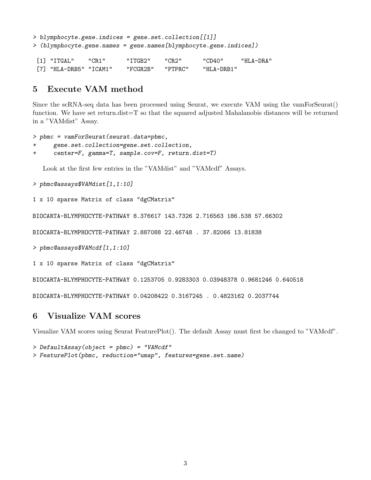```
> blymphocyte.gene.indices = gene.set.collection[[1]]
> (blymphocyte.gene.names = gene.names[blymphocyte.gene.indices])
```

| $[1]$ "ITGAL"            | $"$ CR1 $"$ | "ITGB2"  | "CR2"   | "CD40"     | "HLA-DRA" |
|--------------------------|-------------|----------|---------|------------|-----------|
| $[7]$ "HLA-DRB5" "ICAM1" |             | "FCGR2B" | "PTPRC" | "HLA-DRB1" |           |

## 5 Execute VAM method

Since the scRNA-seq data has been processed using Seurat, we execute VAM using the vamForSeurat() function. We have set return.dist= $T$  so that the squared adjusted Mahalanobis distances will be returned in a "VAMdist" Assay.

```
> pbmc = vamForSeurat(seurat.data=pbmc,
+ gene.set.collection=gene.set.collection,
+ center=F, gamma=T, sample.cov=F, return.dist=T)
```
Look at the first few entries in the "VAMdist" and "VAMcdf" Assays.

> pbmc@assays\$VAMdist[1,1:10]

1 x 10 sparse Matrix of class "dgCMatrix"

BIOCARTA-BLYMPHOCYTE-PATHWAY 8.376617 143.7326 2.716563 186.538 57.66302

BIOCARTA-BLYMPHOCYTE-PATHWAY 2.887088 22.46748 . 37.82066 13.81838

> pbmc@assays\$VAMcdf[1,1:10]

1 x 10 sparse Matrix of class "dgCMatrix"

BIOCARTA-BLYMPHOCYTE-PATHWAY 0.1253705 0.9283303 0.03948378 0.9681246 0.640518

BIOCARTA-BLYMPHOCYTE-PATHWAY 0.04208422 0.3167245 . 0.4823162 0.2037744

#### 6 Visualize VAM scores

Visualize VAM scores using Seurat FeaturePlot(). The default Assay must first be changed to "VAMcdf".

> DefaultAssay(object = pbmc) = "VAMcdf"

> FeaturePlot(pbmc, reduction="umap", features=gene.set.name)